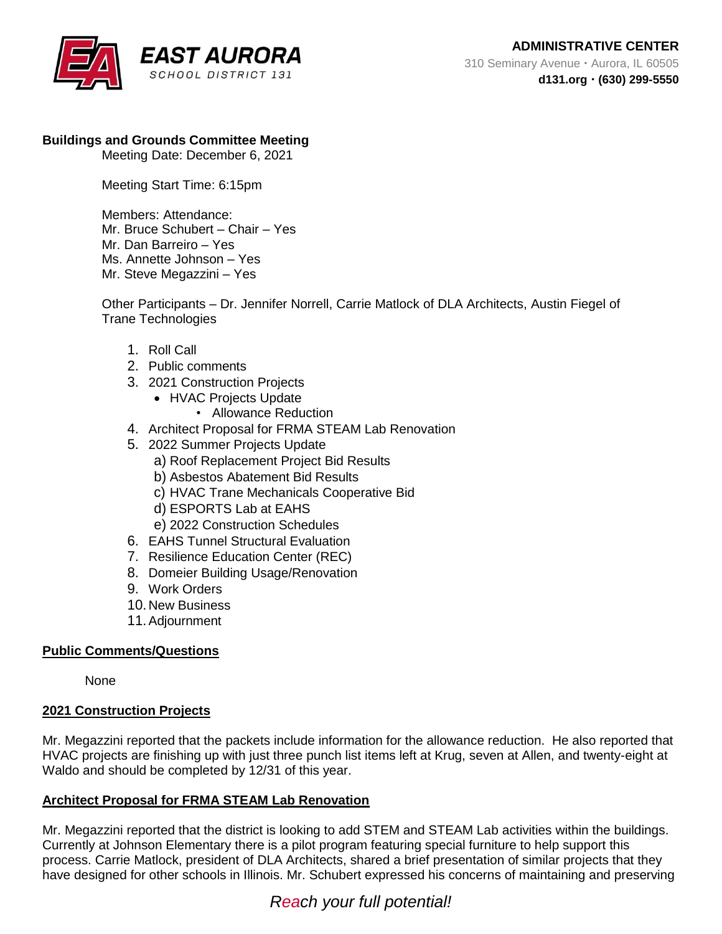

## **Buildings and Grounds Committee Meeting**

Meeting Date: December 6, 2021

Meeting Start Time: 6:15pm

Members: Attendance: Mr. Bruce Schubert – Chair – Yes Mr. Dan Barreiro – Yes Ms. Annette Johnson – Yes Mr. Steve Megazzini – Yes

Other Participants – Dr. Jennifer Norrell, Carrie Matlock of DLA Architects, Austin Fiegel of Trane Technologies

- 1. Roll Call
- 2. Public comments
- 3. 2021 Construction Projects
	- HVAC Projects Update
		- Allowance Reduction
- 4. Architect Proposal for FRMA STEAM Lab Renovation
- 5. 2022 Summer Projects Update
	- a) Roof Replacement Project Bid Results
	- b) Asbestos Abatement Bid Results
	- c) HVAC Trane Mechanicals Cooperative Bid
	- d) ESPORTS Lab at EAHS
	- e) 2022 Construction Schedules
- 6. EAHS Tunnel Structural Evaluation
- 7. Resilience Education Center (REC)
- 8. Domeier Building Usage/Renovation
- 9. Work Orders
- 10. New Business
- 11.Adjournment

## **Public Comments/Questions**

None

### **2021 Construction Projects**

Mr. Megazzini reported that the packets include information for the allowance reduction. He also reported that HVAC projects are finishing up with just three punch list items left at Krug, seven at Allen, and twenty-eight at Waldo and should be completed by 12/31 of this year.

## **Architect Proposal for FRMA STEAM Lab Renovation**

Mr. Megazzini reported that the district is looking to add STEM and STEAM Lab activities within the buildings. Currently at Johnson Elementary there is a pilot program featuring special furniture to help support this process. Carrie Matlock, president of DLA Architects, shared a brief presentation of similar projects that they have designed for other schools in Illinois. Mr. Schubert expressed his concerns of maintaining and preserving

# *Reach your full potential!*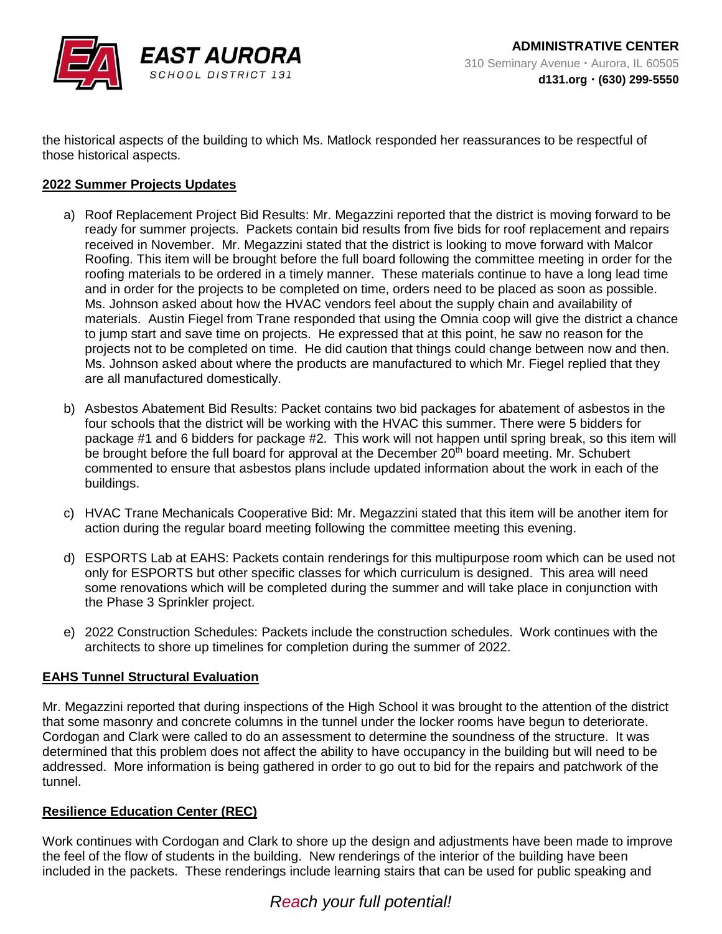

the historical aspects of the building to which Ms. Matlock responded her reassurances to be respectful of those historical aspects.

### **2022 Summer Projects Updates**

- a) Roof Replacement Project Bid Results: Mr. Megazzini reported that the district is moving forward to be ready for summer projects. Packets contain bid results from five bids for roof replacement and repairs received in November. Mr. Megazzini stated that the district is looking to move forward with Malcor Roofing. This item will be brought before the full board following the committee meeting in order for the roofing materials to be ordered in a timely manner. These materials continue to have a long lead time and in order for the projects to be completed on time, orders need to be placed as soon as possible. Ms. Johnson asked about how the HVAC vendors feel about the supply chain and availability of materials. Austin Fiegel from Trane responded that using the Omnia coop will give the district a chance to jump start and save time on projects. He expressed that at this point, he saw no reason for the projects not to be completed on time. He did caution that things could change between now and then. Ms. Johnson asked about where the products are manufactured to which Mr. Fiegel replied that they are all manufactured domestically.
- b) Asbestos Abatement Bid Results: Packet contains two bid packages for abatement of asbestos in the four schools that the district will be working with the HVAC this summer. There were 5 bidders for package #1 and 6 bidders for package #2. This work will not happen until spring break, so this item will be brought before the full board for approval at the December 20<sup>th</sup> board meeting. Mr. Schubert commented to ensure that asbestos plans include updated information about the work in each of the buildings.
- c) HVAC Trane Mechanicals Cooperative Bid: Mr. Megazzini stated that this item will be another item for action during the regular board meeting following the committee meeting this evening.
- d) ESPORTS Lab at EAHS: Packets contain renderings for this multipurpose room which can be used not only for ESPORTS but other specific classes for which curriculum is designed. This area will need some renovations which will be completed during the summer and will take place in conjunction with the Phase 3 Sprinkler project.
- e) 2022 Construction Schedules: Packets include the construction schedules. Work continues with the architects to shore up timelines for completion during the summer of 2022.

### **EAHS Tunnel Structural Evaluation**

Mr. Megazzini reported that during inspections of the High School it was brought to the attention of the district that some masonry and concrete columns in the tunnel under the locker rooms have begun to deteriorate. Cordogan and Clark were called to do an assessment to determine the soundness of the structure. It was determined that this problem does not affect the ability to have occupancy in the building but will need to be addressed. More information is being gathered in order to go out to bid for the repairs and patchwork of the tunnel.

## **Resilience Education Center (REC)**

Work continues with Cordogan and Clark to shore up the design and adjustments have been made to improve the feel of the flow of students in the building. New renderings of the interior of the building have been included in the packets. These renderings include learning stairs that can be used for public speaking and

# *Reach your full potential!*